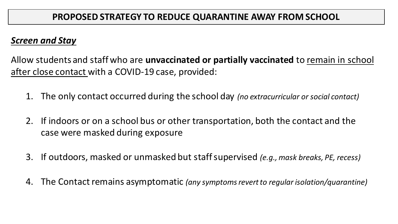## *Screen and Stay*

Allow students and staff who are **unvaccinated or partially vaccinated** to remain in school after close contact with a COVID-19 case, provided:

- 1. The only contact occurred during the school day *(no extracurricular or social contact)*
- 2. If indoors or on a school bus or other transportation, both the contact and the case were masked during exposure
- 3. If outdoors, masked or unmasked but staff supervised *(e.g., mask breaks, PE, recess)*
- 4. The Contact remains asymptomatic *(any symptoms revert to regular isolation/quarantine)*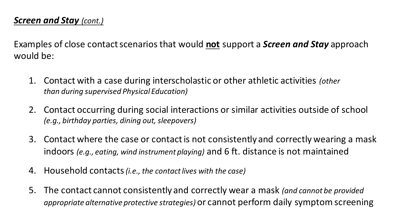## *Screen and Stay (cont.)*

Examples of close contact scenarios that would **not** support a *Screen and Stay* approach would be:

- 1. Contact with a case during interscholastic or other athletic activities *(other than during supervised Physical Education)*
- 2. Contact occurring during social interactions or similar activities outside of school *(e.g., birthday parties, dining out, sleepovers)*
- 3. Contact where the case or contact is not consistently and correctly wearing a mask indoors *(e.g., eating, wind instrument playing)* and 6 ft. distance is not maintained
- 4. Household contacts *(i.e., the contact lives with the case)*
- 5. The contact cannot consistently and correctly wear a mask *(and cannot be provided appropriate alternative protective strategies)* or cannot perform daily symptom screening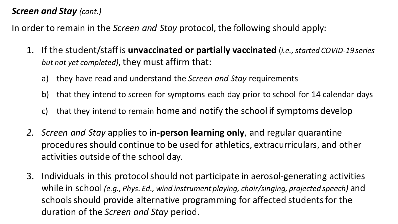## *Screen and Stay (cont.)*

In order to remain in the *Screen and Stay* protocol, the following should apply:

- 1. If the student/staff is **unvaccinated or partially vaccinated** (*i.e., started COVID-19 series but not yet completed)*, they must affirm that:
	- a) they have read and understand the *Screen and Stay* requirements
	- b) that they intend to screen for symptoms each day prior to school for 14 calendar days
	- c) that they intend to remain home and notify the school if symptoms develop
- *2. Screen and Stay* applies to **in-person learning only**, and regular quarantine procedures should continue to be used for athletics, extracurriculars, and other activities outside of the school day.
- 3. Individuals in this protocol should not participate in aerosol-generating activities while in school *(e.g., Phys. Ed., wind instrument playing, choir/singing, projected speech)* and schools should provide alternative programming for affected students for the duration of the *Screen and Stay* period.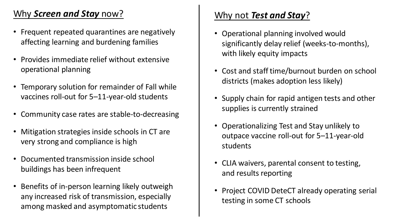# Why *Screen and Stay* now?

- Frequent repeated quarantines are negatively affecting learning and burdening families
- Provides immediate relief without extensive operational planning
- Temporary solution for remainder of Fall while vaccines roll-out for 5–11-year-old students
- Community case rates are stable-to-decreasing
- Mitigation strategies inside schools in CT are very strong and compliance is high
- Documented transmission inside school buildings has been infrequent
- Benefits of in-person learning likely outweigh any increased risk of transmission, especially among masked and asymptomatic students

## Why not *Test and Stay*?

- Operational planning involved would significantly delay relief (weeks-to-months), with likely equity impacts
- Cost and staff time/burnout burden on school districts (makes adoption less likely)
- Supply chain for rapid antigen tests and other supplies is currently strained
- Operationalizing Test and Stay unlikely to outpace vaccine roll-out for 5–11-year-old students
- CLIA waivers, parental consent to testing, and results reporting
- Project COVID DeteCT already operating serial testing in some CT schools